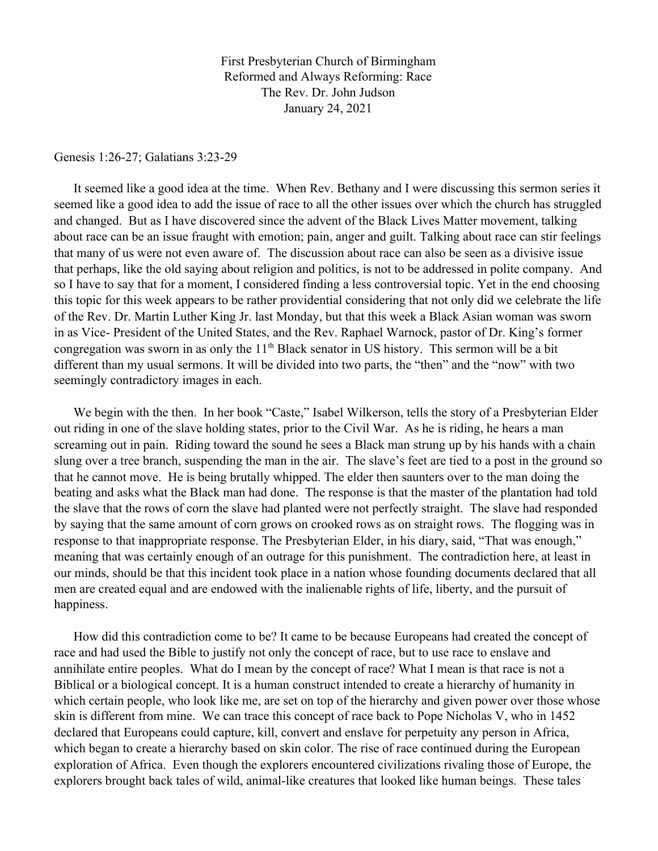First Presbyterian Church of Birmingham Reformed and Always Reforming: Race The Rev. Dr. John Judson January 24, 2021

Genesis 1:26-27; Galatians 3:23-29

 It seemed like a good idea at the time. When Rev. Bethany and I were discussing this sermon series it seemed like a good idea to add the issue of race to all the other issues over which the church has struggled and changed. But as I have discovered since the advent of the Black Lives Matter movement, talking about race can be an issue fraught with emotion; pain, anger and guilt. Talking about race can stir feelings that many of us were not even aware of. The discussion about race can also be seen as a divisive issue that perhaps, like the old saying about religion and politics, is not to be addressed in polite company. And so I have to say that for a moment, I considered finding a less controversial topic. Yet in the end choosing this topic for this week appears to be rather providential considering that not only did we celebrate the life of the Rev. Dr. Martin Luther King Jr. last Monday, but that this week a Black Asian woman was sworn in as Vice- President of the United States, and the Rev. Raphael Warnock, pastor of Dr. King's former congregation was sworn in as only the  $11<sup>th</sup>$  Black senator in US history. This sermon will be a bit different than my usual sermons. It will be divided into two parts, the "then" and the "now" with two seemingly contradictory images in each.

 We begin with the then. In her book "Caste," Isabel Wilkerson, tells the story of a Presbyterian Elder out riding in one of the slave holding states, prior to the Civil War. As he is riding, he hears a man screaming out in pain. Riding toward the sound he sees a Black man strung up by his hands with a chain slung over a tree branch, suspending the man in the air. The slave's feet are tied to a post in the ground so that he cannot move. He is being brutally whipped. The elder then saunters over to the man doing the beating and asks what the Black man had done. The response is that the master of the plantation had told the slave that the rows of corn the slave had planted were not perfectly straight. The slave had responded by saying that the same amount of corn grows on crooked rows as on straight rows. The flogging was in response to that inappropriate response. The Presbyterian Elder, in his diary, said, "That was enough," meaning that was certainly enough of an outrage for this punishment. The contradiction here, at least in our minds, should be that this incident took place in a nation whose founding documents declared that all men are created equal and are endowed with the inalienable rights of life, liberty, and the pursuit of happiness.

 How did this contradiction come to be? It came to be because Europeans had created the concept of race and had used the Bible to justify not only the concept of race, but to use race to enslave and annihilate entire peoples. What do I mean by the concept of race? What I mean is that race is not a Biblical or a biological concept. It is a human construct intended to create a hierarchy of humanity in which certain people, who look like me, are set on top of the hierarchy and given power over those whose skin is different from mine. We can trace this concept of race back to Pope Nicholas V, who in 1452 declared that Europeans could capture, kill, convert and enslave for perpetuity any person in Africa, which began to create a hierarchy based on skin color. The rise of race continued during the European exploration of Africa. Even though the explorers encountered civilizations rivaling those of Europe, the explorers brought back tales of wild, animal-like creatures that looked like human beings. These tales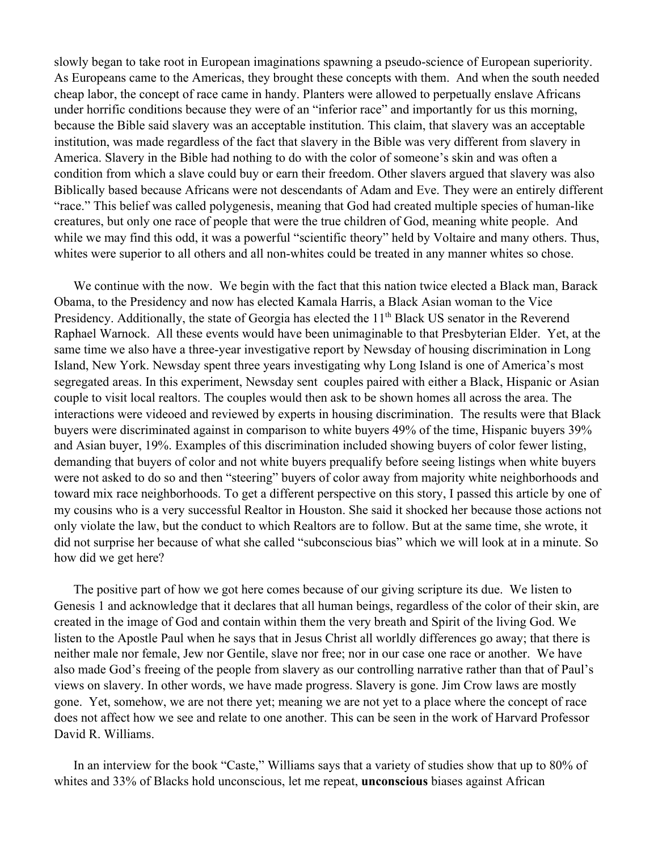slowly began to take root in European imaginations spawning a pseudo-science of European superiority. As Europeans came to the Americas, they brought these concepts with them. And when the south needed cheap labor, the concept of race came in handy. Planters were allowed to perpetually enslave Africans under horrific conditions because they were of an "inferior race" and importantly for us this morning, because the Bible said slavery was an acceptable institution. This claim, that slavery was an acceptable institution, was made regardless of the fact that slavery in the Bible was very different from slavery in America. Slavery in the Bible had nothing to do with the color of someone's skin and was often a condition from which a slave could buy or earn their freedom. Other slavers argued that slavery was also Biblically based because Africans were not descendants of Adam and Eve. They were an entirely different "race." This belief was called polygenesis, meaning that God had created multiple species of human-like creatures, but only one race of people that were the true children of God, meaning white people. And while we may find this odd, it was a powerful "scientific theory" held by Voltaire and many others. Thus, whites were superior to all others and all non-whites could be treated in any manner whites so chose.

 We continue with the now. We begin with the fact that this nation twice elected a Black man, Barack Obama, to the Presidency and now has elected Kamala Harris, a Black Asian woman to the Vice Presidency. Additionally, the state of Georgia has elected the 11<sup>th</sup> Black US senator in the Reverend Raphael Warnock. All these events would have been unimaginable to that Presbyterian Elder. Yet, at the same time we also have a three-year investigative report by Newsday of housing discrimination in Long Island, New York. Newsday spent three years investigating why Long Island is one of America's most segregated areas. In this experiment, Newsday sent couples paired with either a Black, Hispanic or Asian couple to visit local realtors. The couples would then ask to be shown homes all across the area. The interactions were videoed and reviewed by experts in housing discrimination. The results were that Black buyers were discriminated against in comparison to white buyers 49% of the time, Hispanic buyers 39% and Asian buyer, 19%. Examples of this discrimination included showing buyers of color fewer listing, demanding that buyers of color and not white buyers prequalify before seeing listings when white buyers were not asked to do so and then "steering" buyers of color away from majority white neighborhoods and toward mix race neighborhoods. To get a different perspective on this story, I passed this article by one of my cousins who is a very successful Realtor in Houston. She said it shocked her because those actions not only violate the law, but the conduct to which Realtors are to follow. But at the same time, she wrote, it did not surprise her because of what she called "subconscious bias" which we will look at in a minute. So how did we get here?

 The positive part of how we got here comes because of our giving scripture its due. We listen to Genesis 1 and acknowledge that it declares that all human beings, regardless of the color of their skin, are created in the image of God and contain within them the very breath and Spirit of the living God. We listen to the Apostle Paul when he says that in Jesus Christ all worldly differences go away; that there is neither male nor female, Jew nor Gentile, slave nor free; nor in our case one race or another. We have also made God's freeing of the people from slavery as our controlling narrative rather than that of Paul's views on slavery. In other words, we have made progress. Slavery is gone. Jim Crow laws are mostly gone. Yet, somehow, we are not there yet; meaning we are not yet to a place where the concept of race does not affect how we see and relate to one another. This can be seen in the work of Harvard Professor David R. Williams.

 In an interview for the book "Caste," Williams says that a variety of studies show that up to 80% of whites and 33% of Blacks hold unconscious, let me repeat, **unconscious** biases against African